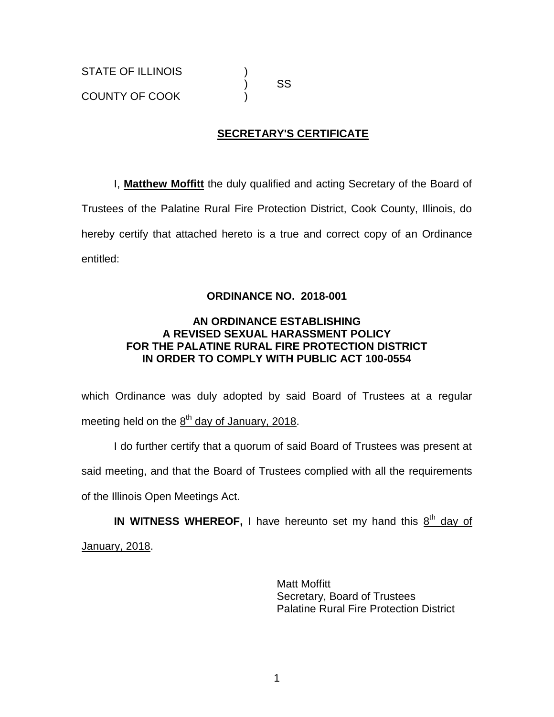) SS

# **SECRETARY'S CERTIFICATE**

I, **Matthew Moffitt** the duly qualified and acting Secretary of the Board of Trustees of the Palatine Rural Fire Protection District, Cook County, Illinois, do hereby certify that attached hereto is a true and correct copy of an Ordinance entitled:

## **ORDINANCE NO. 2018-001**

### **AN ORDINANCE ESTABLISHING A REVISED SEXUAL HARASSMENT POLICY FOR THE PALATINE RURAL FIRE PROTECTION DISTRICT IN ORDER TO COMPLY WITH PUBLIC ACT 100-0554**

which Ordinance was duly adopted by said Board of Trustees at a regular meeting held on the  $\underline{8}^{\text{th}}$  day of January, 2018.

I do further certify that a quorum of said Board of Trustees was present at said meeting, and that the Board of Trustees complied with all the requirements of the Illinois Open Meetings Act.

IN WITNESS WHEREOF, I have hereunto set my hand this 8<sup>th</sup> day of January, 2018.

> Matt Moffitt Secretary, Board of Trustees Palatine Rural Fire Protection District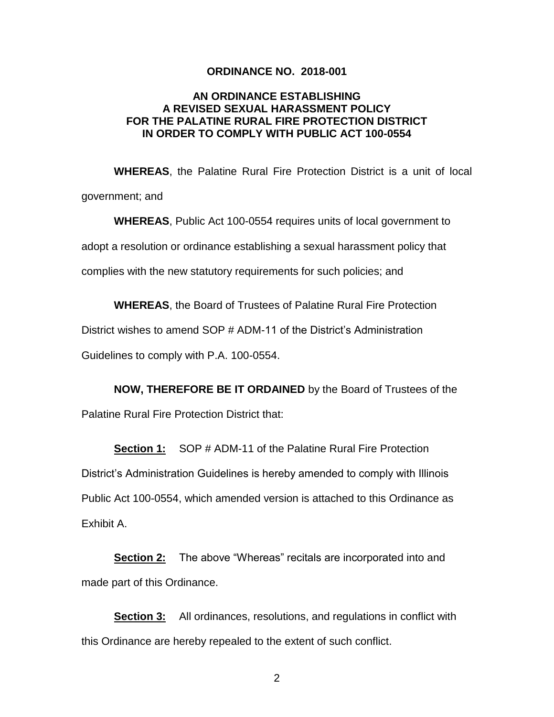#### **ORDINANCE NO. 2018-001**

#### **AN ORDINANCE ESTABLISHING A REVISED SEXUAL HARASSMENT POLICY FOR THE PALATINE RURAL FIRE PROTECTION DISTRICT IN ORDER TO COMPLY WITH PUBLIC ACT 100-0554**

**WHEREAS**, the Palatine Rural Fire Protection District is a unit of local government; and

**WHEREAS**, Public Act 100-0554 requires units of local government to adopt a resolution or ordinance establishing a sexual harassment policy that complies with the new statutory requirements for such policies; and

**WHEREAS**, the Board of Trustees of Palatine Rural Fire Protection

District wishes to amend SOP # ADM-11 of the District's Administration

Guidelines to comply with P.A. 100-0554.

**NOW, THEREFORE BE IT ORDAINED** by the Board of Trustees of the Palatine Rural Fire Protection District that:

**Section 1:** SOP # ADM-11 of the Palatine Rural Fire Protection District's Administration Guidelines is hereby amended to comply with Illinois Public Act 100-0554, which amended version is attached to this Ordinance as Exhibit A.

**Section 2:** The above "Whereas" recitals are incorporated into and made part of this Ordinance.

**Section 3:** All ordinances, resolutions, and regulations in conflict with this Ordinance are hereby repealed to the extent of such conflict.

2